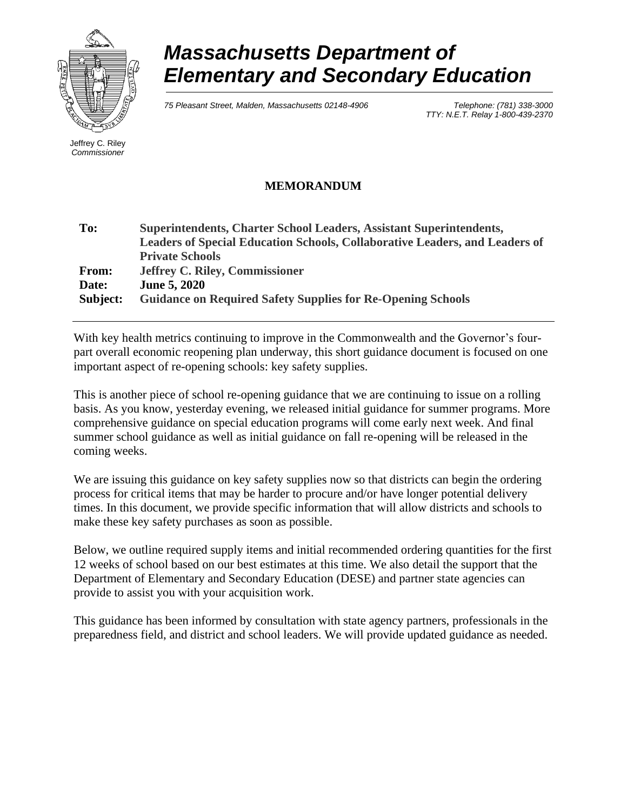

# *Massachusetts Department of Elementary and Secondary Education*

*75 Pleasant Street, Malden, Massachusetts 02148-4906 Telephone: (781) 338-3000* 

*TTY: N.E.T. Relay 1-800-439-2370*

Jeffrey C. Riley *Commissioner*

# **MEMORANDUM**

| <b>Superintendents, Charter School Leaders, Assistant Superintendents,</b>         |
|------------------------------------------------------------------------------------|
| <b>Leaders of Special Education Schools, Collaborative Leaders, and Leaders of</b> |
| <b>Private Schools</b>                                                             |
| <b>Jeffrey C. Riley, Commissioner</b>                                              |
| <b>June 5, 2020</b>                                                                |
| <b>Guidance on Required Safety Supplies for Re-Opening Schools</b>                 |
|                                                                                    |

With key health metrics continuing to improve in the Commonwealth and the Governor's fourpart overall economic reopening plan underway, this short guidance document is focused on one important aspect of re-opening schools: key safety supplies.

This is another piece of school re-opening guidance that we are continuing to issue on a rolling basis. As you know, yesterday evening, we released initial guidance for summer programs. More comprehensive guidance on special education programs will come early next week. And final summer school guidance as well as initial guidance on fall re-opening will be released in the coming weeks.

We are issuing this guidance on key safety supplies now so that districts can begin the ordering process for critical items that may be harder to procure and/or have longer potential delivery times. In this document, we provide specific information that will allow districts and schools to make these key safety purchases as soon as possible.

Below, we outline required supply items and initial recommended ordering quantities for the first 12 weeks of school based on our best estimates at this time. We also detail the support that the Department of Elementary and Secondary Education (DESE) and partner state agencies can provide to assist you with your acquisition work.

This guidance has been informed by consultation with state agency partners, professionals in the preparedness field, and district and school leaders. We will provide updated guidance as needed.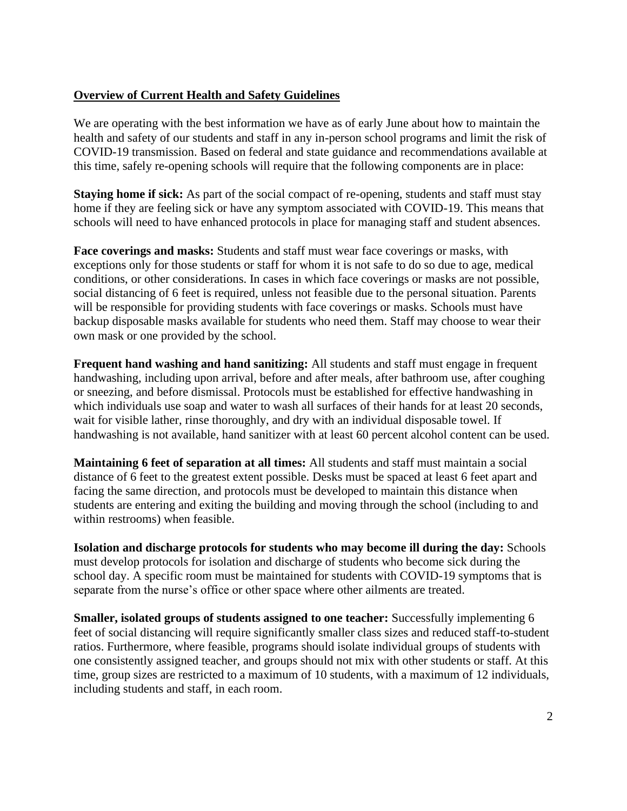# **Overview of Current Health and Safety Guidelines**

We are operating with the best information we have as of early June about how to maintain the health and safety of our students and staff in any in-person school programs and limit the risk of COVID-19 transmission. Based on federal and state guidance and recommendations available at this time, safely re-opening schools will require that the following components are in place:

**Staying home if sick:** As part of the social compact of re-opening, students and staff must stay home if they are feeling sick or have any symptom associated with COVID-19. This means that schools will need to have enhanced protocols in place for managing staff and student absences.

**Face coverings and masks:** Students and staff must wear face coverings or masks, with exceptions only for those students or staff for whom it is not safe to do so due to age, medical conditions, or other considerations. In cases in which face coverings or masks are not possible, social distancing of 6 feet is required, unless not feasible due to the personal situation. Parents will be responsible for providing students with face coverings or masks. Schools must have backup disposable masks available for students who need them. Staff may choose to wear their own mask or one provided by the school.

**Frequent hand washing and hand sanitizing:** All students and staff must engage in frequent handwashing, including upon arrival, before and after meals, after bathroom use, after coughing or sneezing, and before dismissal. Protocols must be established for effective handwashing in which individuals use soap and water to wash all surfaces of their hands for at least 20 seconds, wait for visible lather, rinse thoroughly, and dry with an individual disposable towel. If handwashing is not available, hand sanitizer with at least 60 percent alcohol content can be used.

**Maintaining 6 feet of separation at all times:** All students and staff must maintain a social distance of 6 feet to the greatest extent possible. Desks must be spaced at least 6 feet apart and facing the same direction, and protocols must be developed to maintain this distance when students are entering and exiting the building and moving through the school (including to and within restrooms) when feasible.

**Isolation and discharge protocols for students who may become ill during the day:** Schools must develop protocols for isolation and discharge of students who become sick during the school day. A specific room must be maintained for students with COVID-19 symptoms that is separate from the nurse's office or other space where other ailments are treated.

**Smaller, isolated groups of students assigned to one teacher:** Successfully implementing 6 feet of social distancing will require significantly smaller class sizes and reduced staff-to-student ratios. Furthermore, where feasible, programs should isolate individual groups of students with one consistently assigned teacher, and groups should not mix with other students or staff. At this time, group sizes are restricted to a maximum of 10 students, with a maximum of 12 individuals, including students and staff, in each room.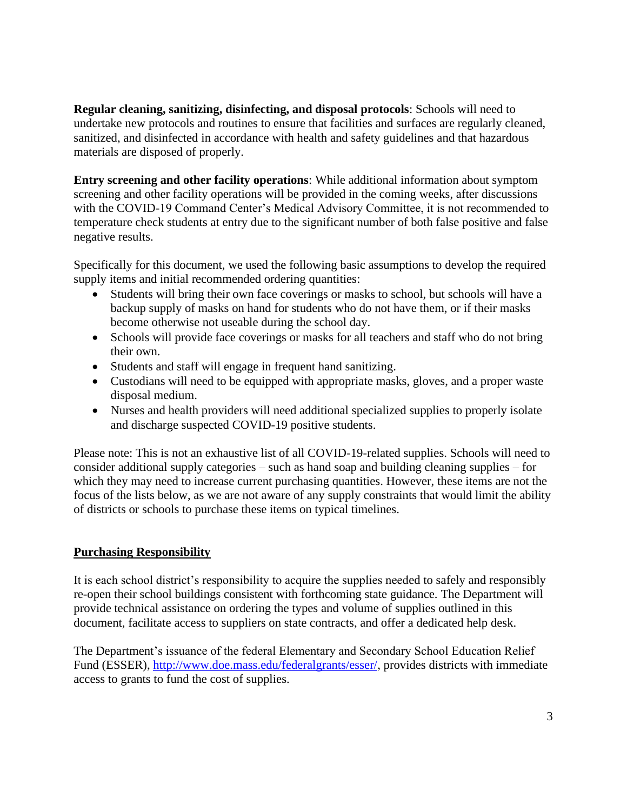**Regular cleaning, sanitizing, disinfecting, and disposal protocols**: Schools will need to undertake new protocols and routines to ensure that facilities and surfaces are regularly cleaned, sanitized, and disinfected in accordance with health and safety guidelines and that hazardous materials are disposed of properly.

**Entry screening and other facility operations**: While additional information about symptom screening and other facility operations will be provided in the coming weeks, after discussions with the COVID-19 Command Center's Medical Advisory Committee, it is not recommended to temperature check students at entry due to the significant number of both false positive and false negative results.

Specifically for this document, we used the following basic assumptions to develop the required supply items and initial recommended ordering quantities:

- Students will bring their own face coverings or masks to school, but schools will have a backup supply of masks on hand for students who do not have them, or if their masks become otherwise not useable during the school day.
- Schools will provide face coverings or masks for all teachers and staff who do not bring their own.
- Students and staff will engage in frequent hand sanitizing.
- Custodians will need to be equipped with appropriate masks, gloves, and a proper waste disposal medium.
- Nurses and health providers will need additional specialized supplies to properly isolate and discharge suspected COVID-19 positive students.

Please note: This is not an exhaustive list of all COVID-19-related supplies. Schools will need to consider additional supply categories – such as hand soap and building cleaning supplies – for which they may need to increase current purchasing quantities. However, these items are not the focus of the lists below, as we are not aware of any supply constraints that would limit the ability of districts or schools to purchase these items on typical timelines.

# **Purchasing Responsibility**

It is each school district's responsibility to acquire the supplies needed to safely and responsibly re-open their school buildings consistent with forthcoming state guidance. The Department will provide technical assistance on ordering the types and volume of supplies outlined in this document, facilitate access to suppliers on state contracts, and offer a dedicated help desk.

The Department's issuance of the federal Elementary and Secondary School Education Relief Fund (ESSER), [http://www.doe.mass.edu/federalgrants/esser/,](http://www.doe.mass.edu/federalgrants/esser/) provides districts with immediate access to grants to fund the cost of supplies.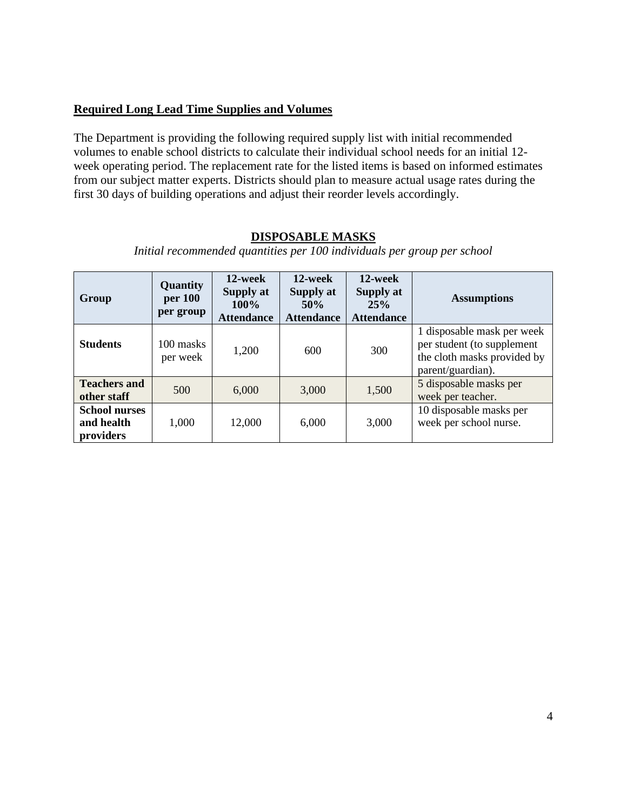## **Required Long Lead Time Supplies and Volumes**

The Department is providing the following required supply list with initial recommended volumes to enable school districts to calculate their individual school needs for an initial 12 week operating period. The replacement rate for the listed items is based on informed estimates from our subject matter experts. Districts should plan to measure actual usage rates during the first 30 days of building operations and adjust their reorder levels accordingly.

#### *Initial recommended quantities per 100 individuals per group per school* **Group Quantity per 100 per group 12-week Supply at 100% Attendance 12-week Supply at 50% Attendance 12-week Supply at 25% Attendance Assumptions Students** 100 masks per week  $1,200$  600  $300$ 1 disposable mask per week per student (to supplement the cloth masks provided by parent/guardian). **Teachers and Teachers and** 500 6,000 3,000 1,500 5 disposable masks per other staff 500 5000 5 disposable masks per week per teacher. **School nurses and health providers** 1,000 12,000 6,000 3,000 10 disposable masks per week per school nurse.

### **DISPOSABLE MASKS**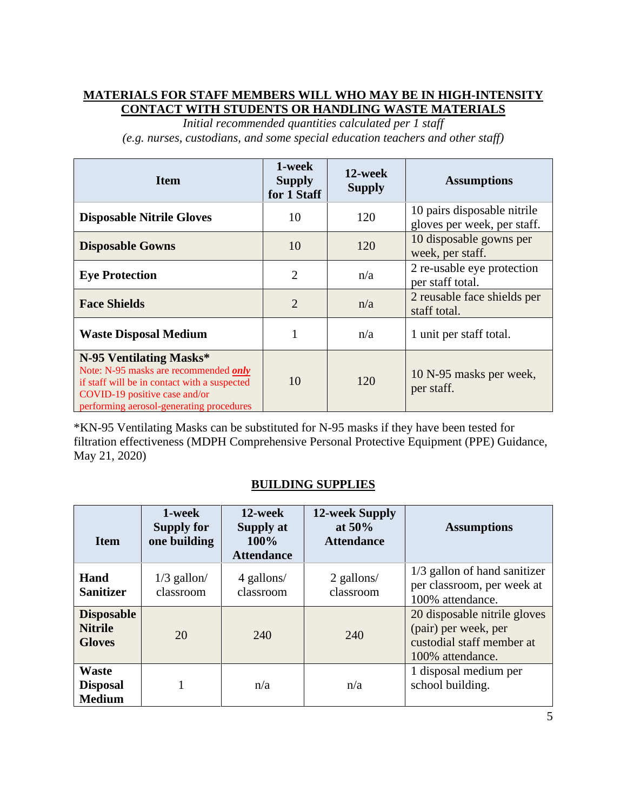# **MATERIALS FOR STAFF MEMBERS WILL WHO MAY BE IN HIGH-INTENSITY CONTACT WITH STUDENTS OR HANDLING WASTE MATERIALS**

*Initial recommended quantities calculated per 1 staff (e.g. nurses, custodians, and some special education teachers and other staff)*

| <b>Item</b>                                                                                                                                                                                   | 1-week<br><b>Supply</b><br>for 1 Staff | 12-week<br><b>Supply</b> | <b>Assumptions</b>                                         |
|-----------------------------------------------------------------------------------------------------------------------------------------------------------------------------------------------|----------------------------------------|--------------------------|------------------------------------------------------------|
| <b>Disposable Nitrile Gloves</b>                                                                                                                                                              | 10                                     | 120                      | 10 pairs disposable nitrile<br>gloves per week, per staff. |
| <b>Disposable Gowns</b>                                                                                                                                                                       | 10                                     | 120                      | 10 disposable gowns per<br>week, per staff.                |
| <b>Eye Protection</b>                                                                                                                                                                         | $\overline{2}$                         | n/a                      | 2 re-usable eye protection<br>per staff total.             |
| <b>Face Shields</b>                                                                                                                                                                           | $\overline{2}$                         | n/a                      | 2 reusable face shields per<br>staff total.                |
| <b>Waste Disposal Medium</b>                                                                                                                                                                  |                                        | n/a                      | 1 unit per staff total.                                    |
| N-95 Ventilating Masks*<br>Note: N-95 masks are recommended only<br>if staff will be in contact with a suspected<br>COVID-19 positive case and/or<br>performing aerosol-generating procedures | 10                                     | 120                      | 10 N-95 masks per week,<br>per staff.                      |

\*KN-95 Ventilating Masks can be substituted for N-95 masks if they have been tested for filtration effectiveness (MDPH Comprehensive Personal Protective Equipment (PPE) Guidance, May 21, 2020)

# **BUILDING SUPPLIES**

| <b>Item</b>                                          | 1-week<br><b>Supply for</b><br>one building | 12-week<br>Supply at<br>100%<br><b>Attendance</b> | 12-week Supply<br>at $50\%$<br><b>Attendance</b> | <b>Assumptions</b>                                                                                    |
|------------------------------------------------------|---------------------------------------------|---------------------------------------------------|--------------------------------------------------|-------------------------------------------------------------------------------------------------------|
| Hand<br><b>Sanitizer</b>                             | $1/3$ gallon/<br>classroom                  | 4 gallons/<br>classroom                           | 2 gallons/<br>classroom                          | 1/3 gallon of hand sanitizer<br>per classroom, per week at<br>100% attendance.                        |
| <b>Disposable</b><br><b>Nitrile</b><br><b>Gloves</b> | 20                                          | 240                                               | 240                                              | 20 disposable nitrile gloves<br>(pair) per week, per<br>custodial staff member at<br>100% attendance. |
| <b>Waste</b><br><b>Disposal</b><br><b>Medium</b>     |                                             | n/a                                               | n/a                                              | 1 disposal medium per<br>school building.                                                             |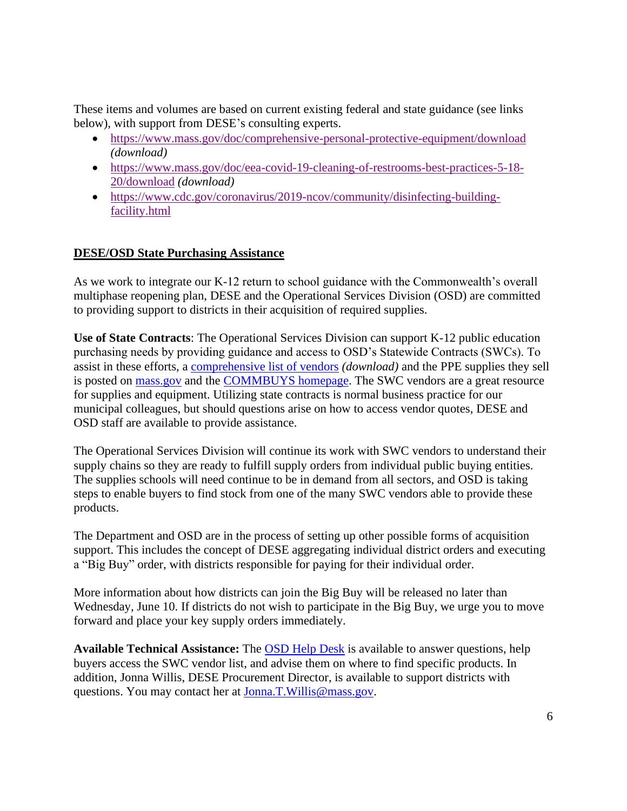These items and volumes are based on current existing federal and state guidance (see links below), with support from DESE's consulting experts.

- <https://www.mass.gov/doc/comprehensive-personal-protective-equipment/download> *(download)*
- [https://www.mass.gov/doc/eea-covid-19-cleaning-of-restrooms-best-practices-5-18-](https://www.mass.gov/doc/eea-covid-19-cleaning-of-restrooms-best-practices-5-18-20/download) [20/download](https://www.mass.gov/doc/eea-covid-19-cleaning-of-restrooms-best-practices-5-18-20/download) *(download)*
- [https://www.cdc.gov/coronavirus/2019-ncov/community/disinfecting-building](https://www.cdc.gov/coronavirus/2019-ncov/community/disinfecting-building-facility.html)[facility.html](https://www.cdc.gov/coronavirus/2019-ncov/community/disinfecting-building-facility.html)

# **DESE/OSD State Purchasing Assistance**

As we work to integrate our K-12 return to school guidance with the Commonwealth's overall multiphase reopening plan, DESE and the Operational Services Division (OSD) are committed to providing support to districts in their acquisition of required supplies.

**Use of State Contracts**: The Operational Services Division can support K-12 public education purchasing needs by providing guidance and access to OSD's Statewide Contracts (SWCs). To assist in these efforts, a [comprehensive list of vendors](https://www.mass.gov/doc/osd-ppe-steady-state-vendors/download) *(download)* and the PPE supplies they sell is posted on [mass.gov](https://www.mass.gov/info-details/covid-19-statewide-contract-resources-for-ppe#ppe-list-of-vendors-) and the [COMMBUYS homepage.](http://www.commbuys.com/) The SWC vendors are a great resource for supplies and equipment. Utilizing state contracts is normal business practice for our municipal colleagues, but should questions arise on how to access vendor quotes, DESE and OSD staff are available to provide assistance.

The Operational Services Division will continue its work with SWC vendors to understand their supply chains so they are ready to fulfill supply orders from individual public buying entities. The supplies schools will need continue to be in demand from all sectors, and OSD is taking steps to enable buyers to find stock from one of the many SWC vendors able to provide these products.

The Department and OSD are in the process of setting up other possible forms of acquisition support. This includes the concept of DESE aggregating individual district orders and executing a "Big Buy" order, with districts responsible for paying for their individual order.

More information about how districts can join the Big Buy will be released no later than Wednesday, June 10. If districts do not wish to participate in the Big Buy, we urge you to move forward and place your key supply orders immediately.

**Available Technical Assistance:** The [OSD Help Desk](mailto:osdhelpdesk@mass.gov) is available to answer questions, help buyers access the SWC vendor list, and advise them on where to find specific products. In addition, Jonna Willis, DESE Procurement Director, is available to support districts with questions. You may contact her at [Jonna.T.Willis@mass.gov.](mailto:Jonna.T.Willis@mass.gov)